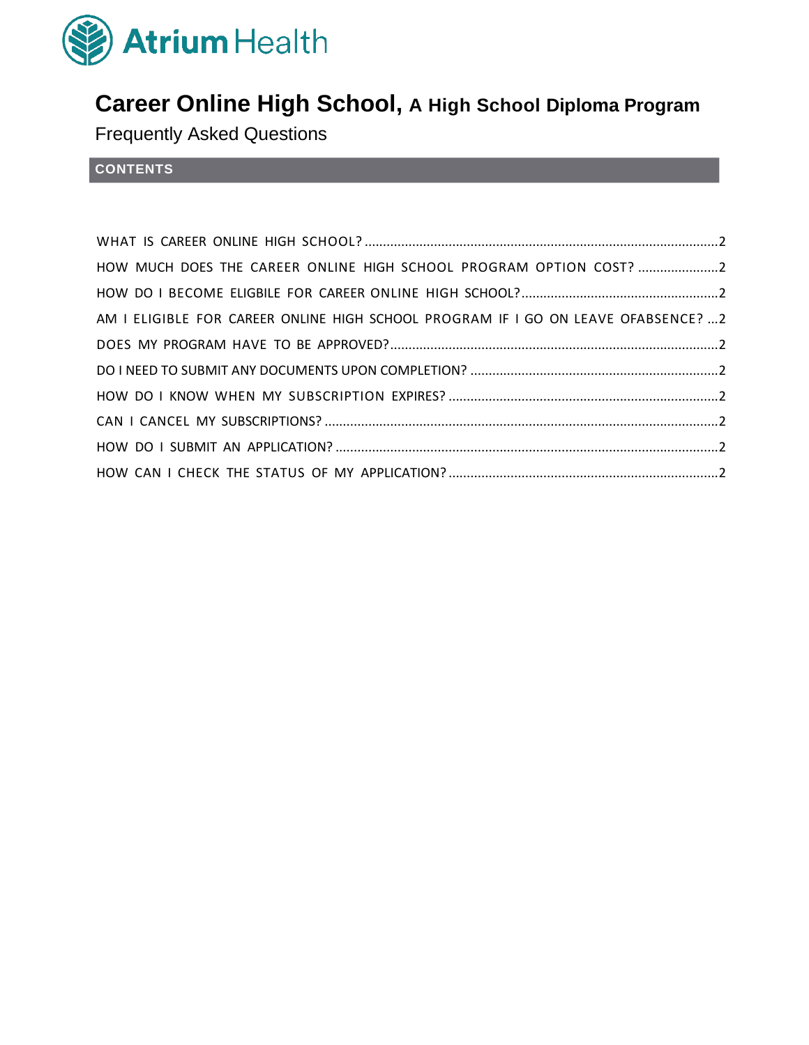

# **Career Online High School, A High School Diploma Program**

Frequently Asked Questions

## **CONTENTS**

| HOW MUCH DOES THE CAREER ONLINE HIGH SCHOOL PROGRAM OPTION COST? 2                 |  |
|------------------------------------------------------------------------------------|--|
|                                                                                    |  |
| AM I ELIGIBLE FOR CAREER ONLINE HIGH SCHOOL PROGRAM IF I GO ON LEAVE OFABSENCE?  2 |  |
|                                                                                    |  |
|                                                                                    |  |
|                                                                                    |  |
|                                                                                    |  |
|                                                                                    |  |
|                                                                                    |  |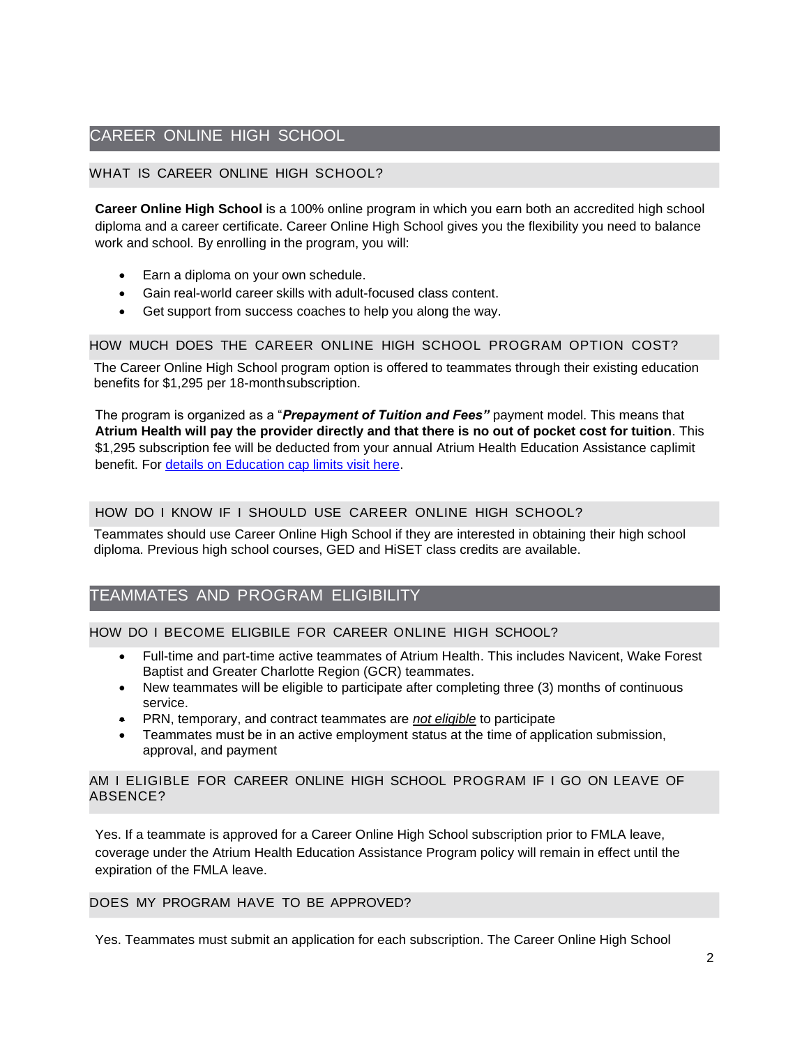## CAREER ONLINE HIGH SCHOOL

#### WHAT IS CAREER ONLINE HIGH SCHOOL?

**Career Online High School** is a 100% online program in which you earn both an accredited high school diploma and a career certificate. Career Online High School gives you the flexibility you need to balance work and school. By enrolling in the program, you will:

- Earn a diploma on your own schedule.
- Gain real-world career skills with adult-focused class content.
- Get support from success coaches to help you along the way.

#### HOW MUCH DOES THE CAREER ONLINE HIGH SCHOOL PROGRAM OPTION COST?

The Career Online High School program option is offered to teammates through their existing education benefits for \$1,295 per 18-month subscription.

The program is organized as a "*Prepayment of Tuition and Fees"* payment model. This means that **Atrium Health will pay the provider directly and that there is no out of pocket cost for tuition**. This \$1,295 subscription fee will be deducted from your annual Atrium Health Education Assistance caplimit benefit. For [details on Education cap limits visit](https://teammates.atriumhealth.org/careers/career-development-center/educational-assistance) here.

#### HOW DO I KNOW IF I SHOULD USE CAREER ONLINE HIGH SCHOOL?

Teammates should use Career Online High School if they are interested in obtaining their high school diploma. Previous high school courses, GED and HiSET class credits are available.

## TEAMMATES AND PROGRAM ELIGIBILITY

#### HOW DO I BECOME ELIGBILE FOR CAREER ONLINE HIGH SCHOOL?

- Full-time and part-time active teammates of Atrium Health. This includes Navicent, Wake Forest Baptist and Greater Charlotte Region (GCR) teammates.
- New teammates will be eligible to participate after completing three (3) months of continuous service.
- PRN, temporary, and contract teammates are *not eligible* to participate
- Teammates must be in an active employment status at the time of application submission, approval, and payment

#### AM I ELIGIBLE FOR CAREER ONLINE HIGH SCHOOL PROGRAM IF I GO ON LEAVE OF ABSENCE?

Yes. If a teammate is approved for a Career Online High School subscription prior to FMLA leave, coverage under the Atrium Health Education Assistance Program policy will remain in effect until the expiration of the FMLA leave.

#### DOES MY PROGRAM HAVE TO BE APPROVED?

Yes. Teammates must submit an application for each subscription. The Career Online High School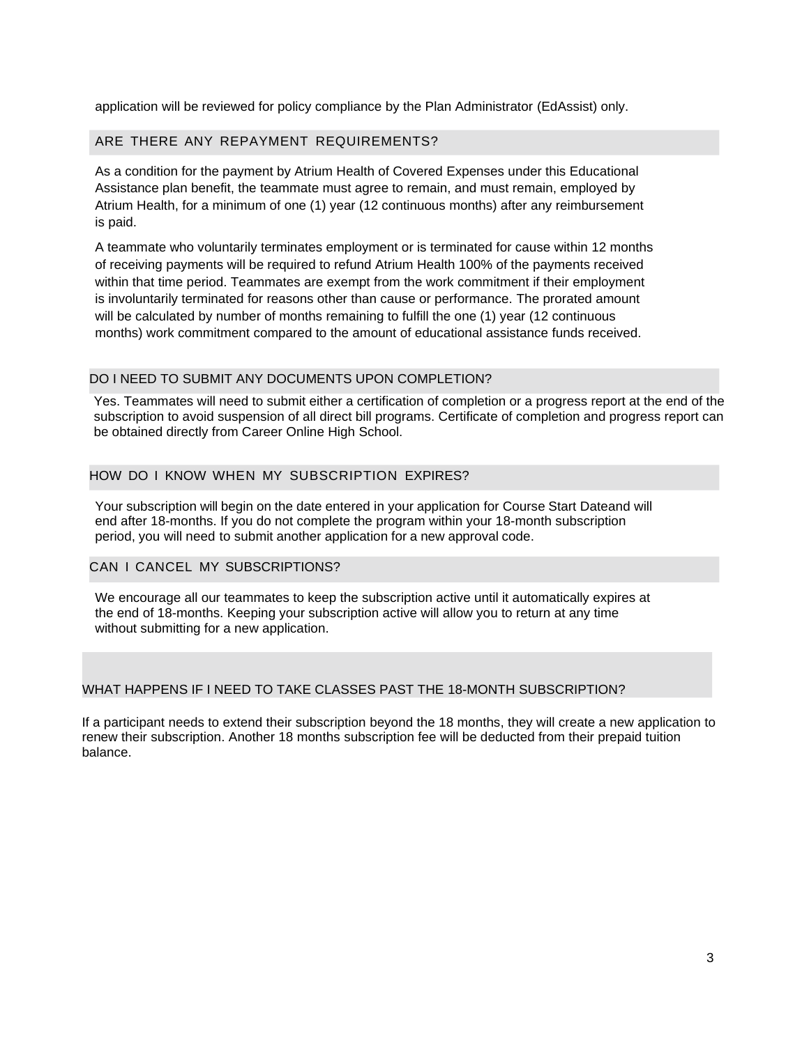application will be reviewed for policy compliance by the Plan Administrator (EdAssist) only.

#### ARE THERE ANY REPAYMENT REQUIREMENTS?

As a condition for the payment by Atrium Health of Covered Expenses under this Educational Assistance plan benefit, the teammate must agree to remain, and must remain, employed by Atrium Health, for a minimum of one (1) year (12 continuous months) after any reimbursement is paid.

A teammate who voluntarily terminates employment or is terminated for cause within 12 months of receiving payments will be required to refund Atrium Health 100% of the payments received within that time period. Teammates are exempt from the work commitment if their employment is involuntarily terminated for reasons other than cause or performance. The prorated amount will be calculated by number of months remaining to fulfill the one (1) year (12 continuous months) work commitment compared to the amount of educational assistance funds received.

#### DO I NEED TO SUBMIT ANY DOCUMENTS UPON COMPLETION?

Yes. Teammates will need to submit either a certification of completion or a progress report at the end of the subscription to avoid suspension of all direct bill programs. Certificate of completion and progress report can be obtained directly from Career Online High School.

#### HOW DO I KNOW WHEN MY SUBSCRIPTION EXPIRES?

Your subscription will begin on the date entered in your application for Course Start Dateand will end after 18-months. If you do not complete the program within your 18-month subscription period, you will need to submit another application for a new approval code.

#### CAN I CANCEL MY SUBSCRIPTIONS?

We encourage all our teammates to keep the subscription active until it automatically expires at the end of 18-months. Keeping your subscription active will allow you to return at any time without submitting for a new application.

#### WHAT HAPPENS IF I NEED TO TAKE CLASSES PAST THE 18-MONTH SUBSCRIPTION?

If a participant needs to extend their subscription beyond the 18 months, they will create a new application to renew their subscription. Another 18 months subscription fee will be deducted from their prepaid tuition balance.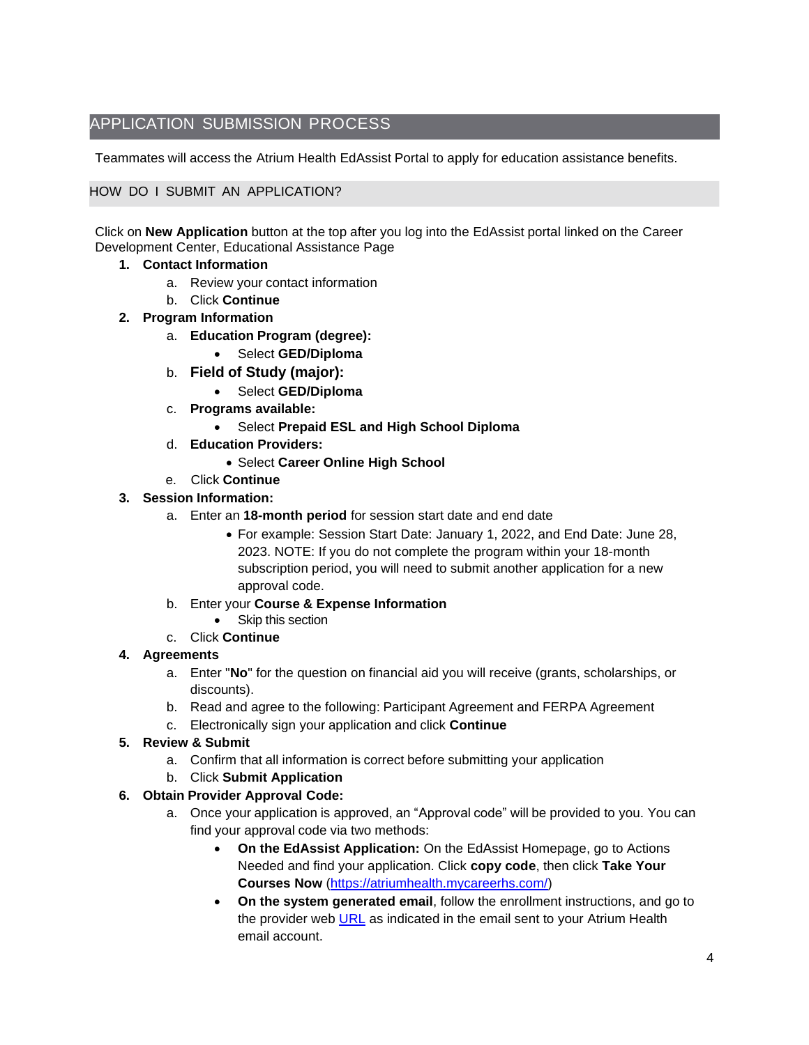## APPLICATION SUBMISSION PROCESS

Teammates will access the Atrium Health EdAssist Portal to apply for education assistance benefits.

#### HOW DO I SUBMIT AN APPLICATION?

Click on **New Application** button at the top after you log into the EdAssist portal linked on the Career Development Center, Educational Assistance Page

#### **1. Contact Information**

- a. Review your contact information
- b. Click **Continue**
- **2. Program Information**
	- a. **Education Program (degree):**
		- Select **GED/Diploma**
	- b. **Field of Study (major):**
		- Select **GED/Diploma**
	- c. **Programs available:**
		- Select **Prepaid ESL and High School Diploma**
	- d. **Education Providers:**
		- Select **Career Online High School**
	- e. Click **Continue**

## **3. Session Information:**

- a. Enter an **18-month period** for session start date and end date
	- For example: Session Start Date: January 1, 2022, and End Date: June 28, 2023. NOTE: If you do not complete the program within your 18-month subscription period, you will need to submit another application for a new approval code.
- b. Enter your **Course & Expense Information**
	- Skip this section
- c. Click **Continue**

## **4. Agreements**

- a. Enter "**No**" for the question on financial aid you will receive (grants, scholarships, or discounts).
- b. Read and agree to the following: Participant Agreement and FERPA Agreement
- c. Electronically sign your application and click **Continue**

## **5. Review & Submit**

- a. Confirm that all information is correct before submitting your application
- b. Click **Submit Application**

## **6. Obtain Provider Approval Code:**

- a. Once your application is approved, an "Approval code" will be provided to you. You can find your approval code via two methods:
	- **On the EdAssist Application:** On the EdAssist Homepage, go to Actions Needed and find your application. Click **copy code**, then click **Take Your Courses Now** [\(https://atriumhealth.mycareerhs.com/\)](https://atriumhealth.mycareerhs.com/)
	- **On the system generated email**, follow the enrollment instructions, and go to the provider web [URL](https://atriumhealth.mycareerhs.com/) as indicated in the email sent to your Atrium Health email account.